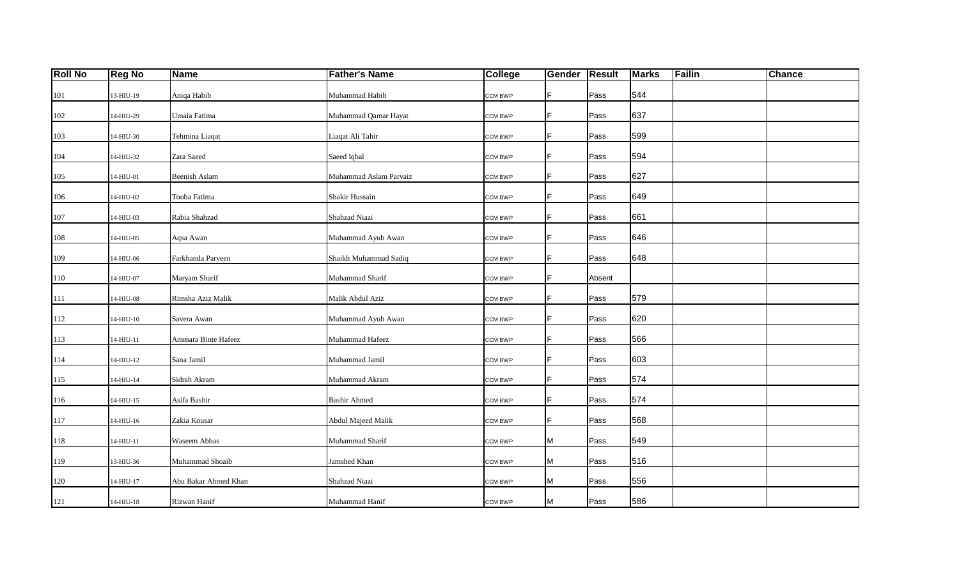| <b>Roll No</b> | <b>Reg No</b>               | <b>Name</b>          | <b>Father's Name</b>   | College        | <b>Gender</b> | <b>Result</b> | <b>Marks</b> | Failin | Chance |
|----------------|-----------------------------|----------------------|------------------------|----------------|---------------|---------------|--------------|--------|--------|
| 101            | 13-HIU-19                   | Aniqa Habib          | Muhammad Habib         | CCM BWP        | F             | Pass          | 544          |        |        |
| $102\,$        | 14-HIU-29                   | Umaia Fatima         | Muhammad Qamar Hayat   | <b>CCM BWP</b> | F             | Pass          | 637          |        |        |
| 103            | 14-HIU-30                   | Tehmina Liaqat       | Liaqat Ali Tahir       | <b>CCM BWP</b> | F             | Pass          | 599          |        |        |
| 104            | 14-HIU-32                   | Zara Saeed           | Saeed Iqbal            | <b>CCM BWP</b> | F             | Pass          | 594          |        |        |
| 105            | 14-HIU-01                   | Beenish Aslam        | Muhammad Aslam Parvaiz | <b>CCM BWP</b> | F.            | Pass          | 627          |        |        |
| 106            | 14-HIU-02                   | Tooba Fatima         | Shakir Hussain         | CCM BWP        | F             | Pass          | 649          |        |        |
| 107            | 14-HIU-03                   | Rabia Shahzad        | Shahzad Niazi          | <b>CCM BWP</b> | F             | Pass          | 661          |        |        |
| 108            | 14-HIU-05                   | Aqsa Awan            | Muhammad Ayub Awan     | <b>CCM BWP</b> | F             | Pass          | 646          |        |        |
| 109            | 14-HIU-06                   | Farkhanda Parveen    | Shaikh Muhammad Sadiq  | <b>CCM BWP</b> | F             | Pass          | 648          |        |        |
| 110            | 14-HIU-07                   | Maryam Sharif        | Muhammad Sharif        | <b>CCM BWP</b> | F             | Absent        |              |        |        |
| 111            | $14-H\mathrm{IU}\text{-}08$ | Rimsha Aziz Malik    | Malik Abdul Aziz       | <b>CCM BWP</b> | F             | Pass          | 579          |        |        |
| 112            | 14-HIU-10                   | Savera Awan          | Muhammad Ayub Awan     | <b>CCM BWP</b> | F             | Pass          | 620          |        |        |
| 113            | 14-HIU-11                   | Ammara Binte Hafeez  | Muhammad Hafeez        | <b>CCM BWP</b> | F             | Pass          | 566          |        |        |
| 114            | 14-HIU-12                   | Sana Jamil           | Muhammad Jamil         | <b>CCM BWP</b> | F.            | Pass          | 603          |        |        |
| 115            | $14-H\text{IU}-14$          | Sidrah Akram         | Muhammad Akram         | <b>CCM BWP</b> | F             | Pass          | 574          |        |        |
| 116            | 14-HIU-15                   | Asifa Bashir         | <b>Bashir Ahmed</b>    | <b>CCM BWP</b> | F.            | Pass          | 574          |        |        |
| 117            | 14-HIU-16                   | Zakia Kousar         | Abdul Majeed Malik     | <b>CCM BWP</b> | F             | Pass          | 568          |        |        |
| 118            | 14-HIU-11                   | Waseem Abbas         | Muhammad Sharif        | CCM BWP        | М             | Pass          | 549          |        |        |
| 119            | 13-HIU-36                   | Muhammad Shoaib      | Jamshed Khan           | <b>CCM BWP</b> | М             | Pass          | 516          |        |        |
| 120            | 14-HIU-17                   | Abu Bakar Ahmed Khan | Shahzad Niazi          | <b>CCM BWP</b> | М             | Pass          | 556          |        |        |
| 121            | 14-HIU-18                   | Rizwan Hanif         | Muhammad Hanif         | <b>CCM BWP</b> | М             | Pass          | 586          |        |        |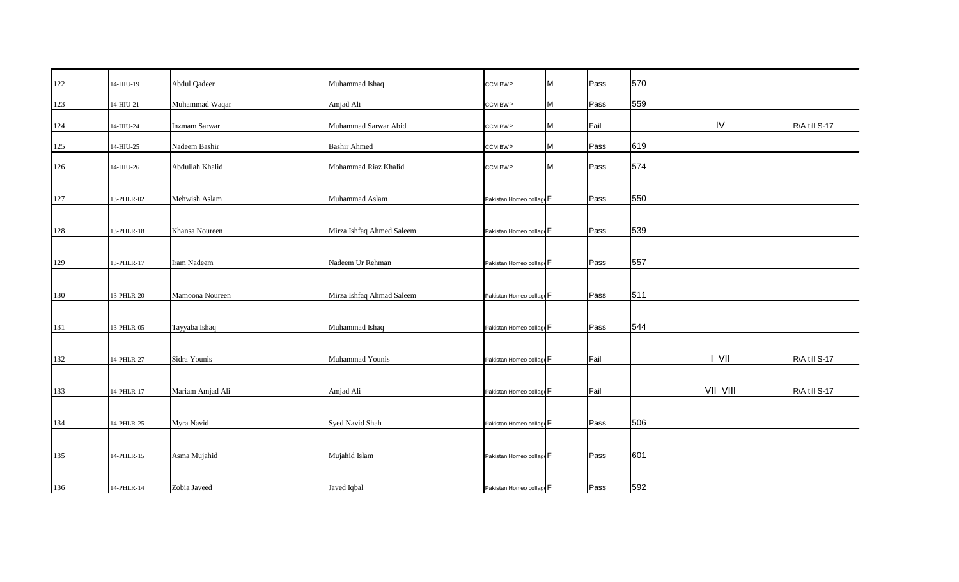| 122     | 14-HIU-19   | Abdul Qadeer     | Muhammad Ishaq            | CCM BWP                  | M | Pass | 570 |          |               |
|---------|-------------|------------------|---------------------------|--------------------------|---|------|-----|----------|---------------|
| 123     | $14-HIU-21$ | Muhammad Waqar   | Amjad Ali                 | <b>CCM BWP</b>           | M | Pass | 559 |          |               |
|         |             |                  |                           |                          |   |      |     |          |               |
| 124     | 14-HIU-24   | Inzmam Sarwar    | Muhammad Sarwar Abid      | <b>CCM BWP</b>           | M | Fail |     | IV       | R/A till S-17 |
| $125\,$ | 14-HIU-25   | Nadeem Bashir    | <b>Bashir Ahmed</b>       | <b>CCM BWP</b>           | M | Pass | 619 |          |               |
| 126     | 14-HIU-26   | Abdullah Khalid  | Mohammad Riaz Khalid      | <b>CCM BWP</b>           | M | Pass | 574 |          |               |
|         |             |                  |                           |                          |   |      |     |          |               |
| 127     | 13-PHLR-02  | Mehwish Aslam    | Muhammad Aslam            | Pakistan Homeo collage F |   | Pass | 550 |          |               |
|         |             |                  |                           |                          |   |      |     |          |               |
| 128     | 13-PHLR-18  | Khansa Noureen   | Mirza Ishfaq Ahmed Saleem | Pakistan Homeo collage F |   | Pass | 539 |          |               |
|         |             |                  |                           |                          |   |      |     |          |               |
| 129     | 13-PHLR-17  | Iram Nadeem      | Nadeem Ur Rehman          | Pakistan Homeo collage F |   | Pass | 557 |          |               |
|         |             |                  |                           |                          |   |      |     |          |               |
| 130     | 13-PHLR-20  | Mamoona Noureen  | Mirza Ishfaq Ahmad Saleem | Pakistan Homeo collage F |   | Pass | 511 |          |               |
|         |             |                  |                           |                          |   |      |     |          |               |
| 131     | 13-PHLR-05  | Tayyaba Ishaq    | Muhammad Ishaq            | Pakistan Homeo collage F |   | Pass | 544 |          |               |
|         |             |                  |                           |                          |   |      |     |          |               |
| 132     | 14-PHLR-27  | Sidra Younis     | Muhammad Younis           | Pakistan Homeo collage F |   | Fail |     | I VII    | R/A till S-17 |
|         |             |                  |                           |                          |   |      |     |          |               |
| 133     | 14-PHLR-17  | Mariam Amjad Ali | Amjad Ali                 | Pakistan Homeo collage F |   | Fail |     | VII VIII | R/A till S-17 |
|         |             |                  |                           |                          |   |      |     |          |               |
| 134     | 14-PHLR-25  | Myra Navid       | Syed Navid Shah           | Pakistan Homeo collage F |   | Pass | 506 |          |               |
|         |             |                  |                           |                          |   |      |     |          |               |
| 135     | 14-PHLR-15  | Asma Mujahid     | Mujahid Islam             | Pakistan Homeo collage F |   | Pass | 601 |          |               |
|         |             |                  |                           |                          |   |      |     |          |               |
| 136     | 14-PHLR-14  | Zobia Javeed     | Javed Iqbal               | Pakistan Homeo collage F |   | Pass | 592 |          |               |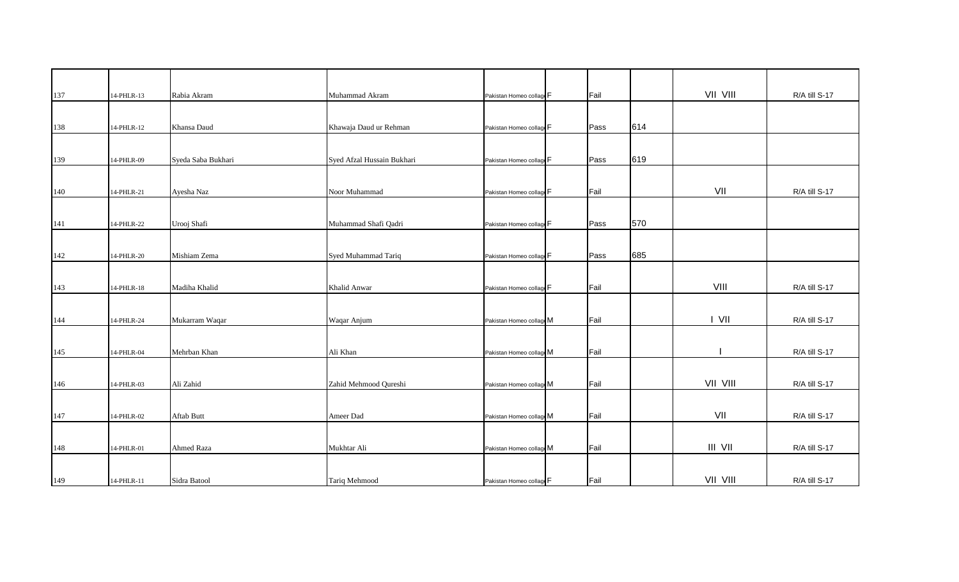| 137 | 14-PHLR-13 | Rabia Akram        | Muhammad Akram             | Pakistan Homeo collage F | Fail |     | VII VIII | R/A till S-17 |
|-----|------------|--------------------|----------------------------|--------------------------|------|-----|----------|---------------|
|     |            |                    |                            |                          |      |     |          |               |
| 138 | 14-PHLR-12 | Khansa Daud        | Khawaja Daud ur Rehman     | Pakistan Homeo collage F | Pass | 614 |          |               |
|     |            |                    |                            |                          |      |     |          |               |
| 139 | 14-PHLR-09 | Syeda Saba Bukhari | Syed Afzal Hussain Bukhari | Pakistan Homeo collage F | Pass | 619 |          |               |
|     |            |                    |                            |                          |      |     |          |               |
| 140 | 14-PHLR-21 | Ayesha Naz         | Noor Muhammad              | Pakistan Homeo collage F | Fail |     | VII      | R/A till S-17 |
|     |            |                    |                            |                          |      |     |          |               |
| 141 | 14-PHLR-22 | Urooj Shafi        | Muhammad Shafi Qadri       | Pakistan Homeo collage F | Pass | 570 |          |               |
|     |            |                    |                            |                          |      |     |          |               |
| 142 | 14-PHLR-20 | Mishiam Zema       | Syed Muhammad Tariq        | Pakistan Homeo collage F | Pass | 685 |          |               |
|     |            |                    |                            |                          |      |     |          |               |
| 143 | 14-PHLR-18 | Madiha Khalid      | Khalid Anwar               | Pakistan Homeo collage F | Fail |     | VIII     | R/A till S-17 |
|     |            |                    |                            |                          |      |     |          |               |
| 144 | 14-PHLR-24 | Mukarram Waqar     | Waqar Anjum                | Pakistan Homeo collage M | Fail |     | I VII    | R/A till S-17 |
|     |            |                    |                            |                          |      |     |          |               |
| 145 | 14-PHLR-04 | Mehrban Khan       | Ali Khan                   | Pakistan Homeo collage M | Fail |     |          | R/A till S-17 |
|     |            |                    |                            |                          |      |     |          |               |
| 146 | 14-PHLR-03 | Ali Zahid          | Zahid Mehmood Qureshi      | Pakistan Homeo collage M | Fail |     | VII VIII | R/A till S-17 |
|     |            |                    |                            |                          |      |     |          |               |
| 147 | 14-PHLR-02 | Aftab Butt         | Ameer Dad                  | Pakistan Homeo collage M | Fail |     | VII      | R/A till S-17 |
|     |            |                    |                            |                          |      |     |          |               |
| 148 | 14-PHLR-01 | <b>Ahmed Raza</b>  | Mukhtar Ali                | Pakistan Homeo collage M | Fail |     | III VII  | R/A till S-17 |
|     |            |                    |                            |                          |      |     |          |               |
| 149 | 14-PHLR-11 | Sidra Batool       | Tariq Mehmood              | Pakistan Homeo collage F | Fail |     | VII VIII | R/A till S-17 |